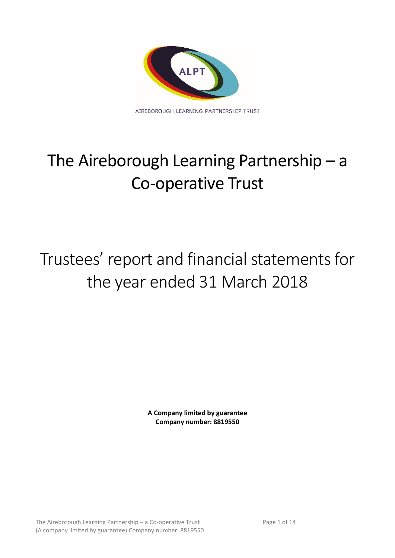

# The Aireborough Learning Partnership – a Co-operative Trust

## Trustees' report and financial statements for the year ended 31 March 2018

**A Company limited by guarantee Company number: 8819550**

The Aireborough Learning Partnership – a Co-operative Trust Page 1 of 14 (A company limited by guarantee) Company number: 8819550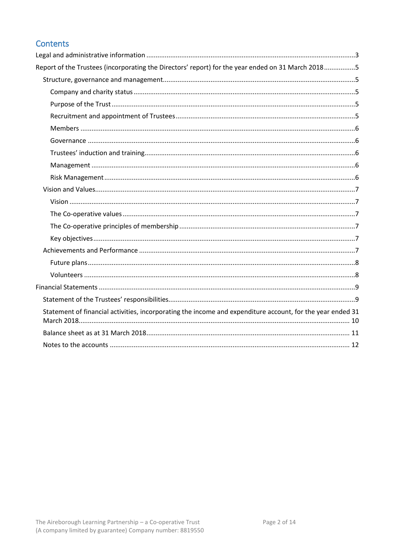## Contents

| Report of the Trustees (incorporating the Directors' report) for the year ended on 31 March 20185          |  |
|------------------------------------------------------------------------------------------------------------|--|
|                                                                                                            |  |
|                                                                                                            |  |
|                                                                                                            |  |
|                                                                                                            |  |
|                                                                                                            |  |
|                                                                                                            |  |
|                                                                                                            |  |
|                                                                                                            |  |
|                                                                                                            |  |
|                                                                                                            |  |
|                                                                                                            |  |
|                                                                                                            |  |
|                                                                                                            |  |
|                                                                                                            |  |
|                                                                                                            |  |
|                                                                                                            |  |
|                                                                                                            |  |
|                                                                                                            |  |
|                                                                                                            |  |
| Statement of financial activities, incorporating the income and expenditure account, for the year ended 31 |  |
|                                                                                                            |  |
|                                                                                                            |  |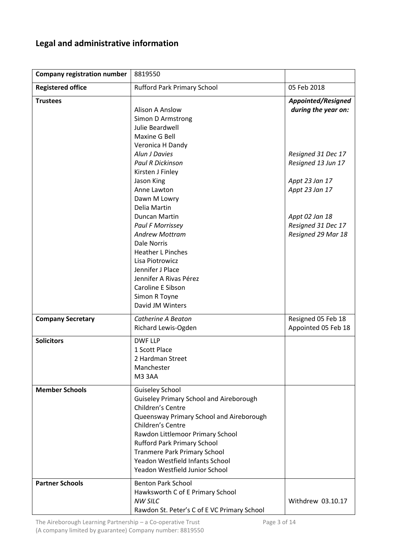## <span id="page-2-0"></span>**Legal and administrative information**

| <b>Company registration number</b> | 8819550                                                                                                                                                                                                                                                                                                                                              |                                                                              |
|------------------------------------|------------------------------------------------------------------------------------------------------------------------------------------------------------------------------------------------------------------------------------------------------------------------------------------------------------------------------------------------------|------------------------------------------------------------------------------|
| <b>Registered office</b>           | <b>Rufford Park Primary School</b>                                                                                                                                                                                                                                                                                                                   | 05 Feb 2018                                                                  |
| <b>Trustees</b>                    | <b>Alison A Anslow</b><br>Simon D Armstrong<br>Julie Beardwell<br>Maxine G Bell<br>Veronica H Dandy                                                                                                                                                                                                                                                  | Appointed/Resigned<br>during the year on:                                    |
|                                    | Alun J Davies<br><b>Paul R Dickinson</b><br>Kirsten J Finley<br>Jason King<br>Anne Lawton<br>Dawn M Lowry                                                                                                                                                                                                                                            | Resigned 31 Dec 17<br>Resigned 13 Jun 17<br>Appt 23 Jan 17<br>Appt 23 Jan 17 |
|                                    | Delia Martin<br>Duncan Martin<br><b>Paul F Morrissey</b><br><b>Andrew Mottram</b><br>Dale Norris<br><b>Heather L Pinches</b><br>Lisa Piotrowicz<br>Jennifer J Place<br>Jennifer A Rivas Pérez<br>Caroline E Sibson<br>Simon R Toyne<br>David JM Winters                                                                                              | Appt 02 Jan 18<br>Resigned 31 Dec 17<br>Resigned 29 Mar 18                   |
| <b>Company Secretary</b>           | Catherine A Beaton<br>Richard Lewis-Ogden                                                                                                                                                                                                                                                                                                            | Resigned 05 Feb 18<br>Appointed 05 Feb 18                                    |
| <b>Solicitors</b>                  | <b>DWF LLP</b><br>1 Scott Place<br>2 Hardman Street<br>Manchester<br><b>M3 3AA</b>                                                                                                                                                                                                                                                                   |                                                                              |
| <b>Member Schools</b>              | <b>Guiseley School</b><br><b>Guiseley Primary School and Aireborough</b><br>Children's Centre<br>Queensway Primary School and Aireborough<br>Children's Centre<br>Rawdon Littlemoor Primary School<br><b>Rufford Park Primary School</b><br><b>Tranmere Park Primary School</b><br>Yeadon Westfield Infants School<br>Yeadon Westfield Junior School |                                                                              |
| <b>Partner Schools</b>             | <b>Benton Park School</b><br>Hawksworth C of E Primary School<br><b>NW SILC</b><br>Rawdon St. Peter's C of E VC Primary School                                                                                                                                                                                                                       | Withdrew 03.10.17                                                            |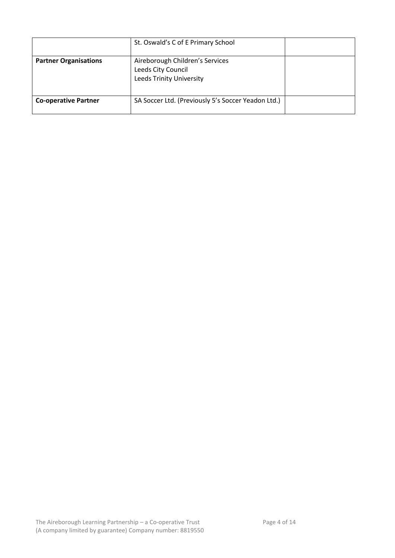|                              | St. Oswald's C of E Primary School                                                |  |
|------------------------------|-----------------------------------------------------------------------------------|--|
| <b>Partner Organisations</b> | Aireborough Children's Services<br>Leeds City Council<br>Leeds Trinity University |  |
| <b>Co-operative Partner</b>  | SA Soccer Ltd. (Previously 5's Soccer Yeadon Ltd.)                                |  |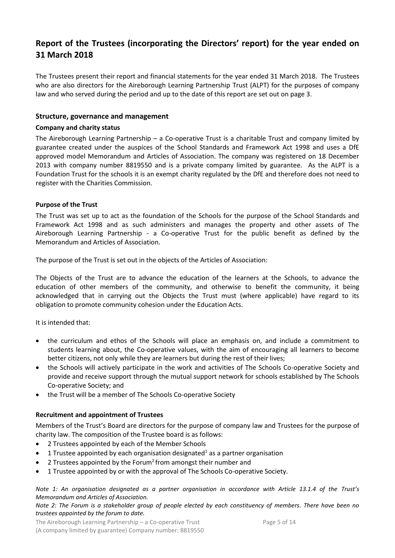## <span id="page-4-0"></span>**Report of the Trustees (incorporating the Directors' report) for the year ended on 31 March 2018**

The Trustees present their report and financial statements for the year ended 31 March 2018. The Trustees who are also directors for the Aireborough Learning Partnership Trust (ALPT) for the purposes of company law and who served during the period and up to the date of this report are set out on page 3.

#### <span id="page-4-1"></span>**Structure, governance and management**

#### <span id="page-4-2"></span>**Company and charity status**

The Aireborough Learning Partnership – a Co-operative Trust is a charitable Trust and company limited by guarantee created under the auspices of the School Standards and Framework Act 1998 and uses a DfE approved model Memorandum and Articles of Association. The company was registered on 18 December 2013 with company number 8819550 and is a private company limited by guarantee. As the ALPT is a Foundation Trust for the schools it is an exempt charity regulated by the DfE and therefore does not need to register with the Charities Commission.

#### <span id="page-4-3"></span>**Purpose of the Trust**

The Trust was set up to act as the foundation of the Schools for the purpose of the School Standards and Framework Act 1998 and as such administers and manages the property and other assets of The Aireborough Learning Partnership - a Co-operative Trust for the public benefit as defined by the Memorandum and Articles of Association.

The purpose of the Trust is set out in the objects of the Articles of Association:

The Objects of the Trust are to advance the education of the learners at the Schools, to advance the education of other members of the community, and otherwise to benefit the community, it being acknowledged that in carrying out the Objects the Trust must (where applicable) have regard to its obligation to promote community cohesion under the Education Acts.

It is intended that:

- the curriculum and ethos of the Schools will place an emphasis on, and include a commitment to students learning about, the Co-operative values, with the aim of encouraging all learners to become better citizens, not only while they are learners but during the rest of their lives;
- the Schools will actively participate in the work and activities of The Schools Co-operative Society and provide and receive support through the mutual support network for schools established by The Schools Co-operative Society; and
- the Trust will be a member of The Schools Co-operative Society

#### <span id="page-4-4"></span>**Recruitment and appointment of Trustees**

Members of the Trust's Board are directors for the purpose of company law and Trustees for the purpose of charity law. The composition of the Trustee board is as follows:

- 2 Trustees appointed by each of the Member Schools
- 1 Trustee appointed by each organisation designated<sup>1</sup> as a partner organisation
- 2 Trustees appointed by the Forum<sup>2</sup> from amongst their number and
- 1 Trustee appointed by or with the approval of The Schools Co-operative Society.

*Note 1: An organisation designated as a partner organisation in accordance with Article 13.1.4 of the Trust's Memorandum and Articles of Association.*

#### *Note 2: The Forum is a stakeholder group of people elected by each constituency of members. There have been no trustees appointed by the forum to date.*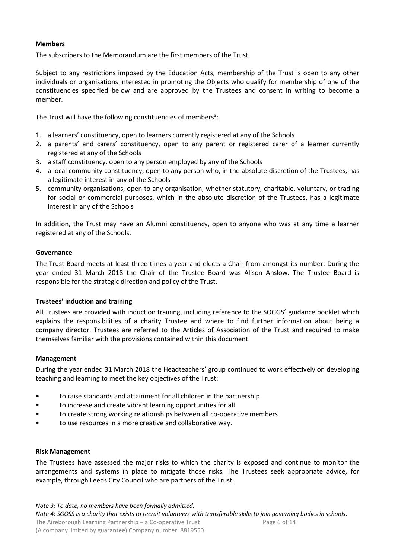#### <span id="page-5-0"></span>**Members**

The subscribers to the Memorandum are the first members of the Trust.

Subject to any restrictions imposed by the Education Acts, membership of the Trust is open to any other individuals or organisations interested in promoting the Objects who qualify for membership of one of the constituencies specified below and are approved by the Trustees and consent in writing to become a member.

The Trust will have the following constituencies of members<sup>3</sup>:

- 1. a learners' constituency, open to learners currently registered at any of the Schools
- 2. a parents' and carers' constituency, open to any parent or registered carer of a learner currently registered at any of the Schools
- 3. a staff constituency, open to any person employed by any of the Schools
- 4. a local community constituency, open to any person who, in the absolute discretion of the Trustees, has a legitimate interest in any of the Schools
- 5. community organisations, open to any organisation, whether statutory, charitable, voluntary, or trading for social or commercial purposes, which in the absolute discretion of the Trustees, has a legitimate interest in any of the Schools

In addition, the Trust may have an Alumni constituency, open to anyone who was at any time a learner registered at any of the Schools.

#### <span id="page-5-1"></span>**Governance**

The Trust Board meets at least three times a year and elects a Chair from amongst its number. During the year ended 31 March 2018 the Chair of the Trustee Board was Alison Anslow. The Trustee Board is responsible for the strategic direction and policy of the Trust.

#### <span id="page-5-2"></span>**Trustees' induction and training**

All Trustees are provided with induction training, including reference to the SOGGS<sup>4</sup> guidance booklet which explains the responsibilities of a charity Trustee and where to find further information about being a company director. Trustees are referred to the Articles of Association of the Trust and required to make themselves familiar with the provisions contained within this document.

#### <span id="page-5-3"></span>**Management**

During the year ended 31 March 2018 the Headteachers' group continued to work effectively on developing teaching and learning to meet the key objectives of the Trust:

- to raise standards and attainment for all children in the partnership
- to increase and create vibrant learning opportunities for all
- to create strong working relationships between all co-operative members
- to use resources in a more creative and collaborative way.

#### <span id="page-5-4"></span>**Risk Management**

The Trustees have assessed the major risks to which the charity is exposed and continue to monitor the arrangements and systems in place to mitigate those risks. The Trustees seek appropriate advice, for example, through Leeds City Council who are partners of the Trust.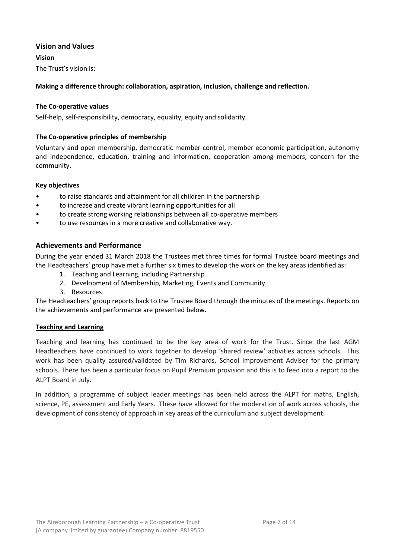#### <span id="page-6-0"></span>**Vision and Values**

<span id="page-6-1"></span>**Vision** The Trust's vision is:

#### **Making a difference through: collaboration, aspiration, inclusion, challenge and reflection.**

#### <span id="page-6-2"></span>**The Co-operative values**

Self-help, self-responsibility, democracy, equality, equity and solidarity.

#### <span id="page-6-3"></span>**The Co-operative principles of membership**

Voluntary and open membership, democratic member control, member economic participation, autonomy and independence, education, training and information, cooperation among members, concern for the community.

#### <span id="page-6-4"></span>**Key objectives**

- to raise standards and attainment for all children in the partnership
- to increase and create vibrant learning opportunities for all
- to create strong working relationships between all co-operative members
- to use resources in a more creative and collaborative way.

#### <span id="page-6-5"></span>**Achievements and Performance**

During the year ended 31 March 2018 the Trustees met three times for formal Trustee board meetings and the Headteachers' group have met a further six times to develop the work on the key areas identified as:

- 1. Teaching and Learning, including Partnership
- 2. Development of Membership, Marketing, Events and Community
- 3. Resources

The Headteachers' group reports back to the Trustee Board through the minutes of the meetings. Reports on the achievements and performance are presented below.

#### **Teaching and Learning**

Teaching and learning has continued to be the key area of work for the Trust. Since the last AGM Headteachers have continued to work together to develop 'shared review' activities across schools. This work has been quality assured/validated by Tim Richards, School Improvement Adviser for the primary schools. There has been a particular focus on Pupil Premium provision and this is to feed into a report to the ALPT Board in July.

In addition, a programme of subject leader meetings has been held across the ALPT for maths, English, science, PE, assessment and Early Years. These have allowed for the moderation of work across schools, the development of consistency of approach in key areas of the curriculum and subject development.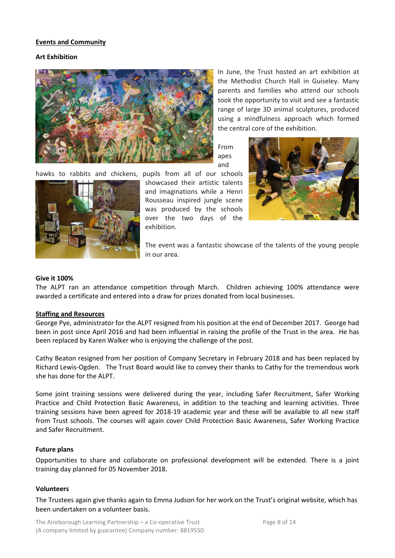#### **Events and Community**

#### **Art Exhibition**





hawks to rabbits and chickens, pupils from all of our schools showcased their artistic talents and imaginations while a Henri Rousseau inspired jungle scene was produced by the schools over the two days of the exhibition.



In June, the Trust hosted an art exhibition at the Methodist Church Hall in Guiseley. Many parents and families who attend our schools

From apes and



The event was a fantastic showcase of the talents of the young people in our area.

#### **Give it 100%**

The ALPT ran an attendance competition through March. Children achieving 100% attendance were awarded a certificate and entered into a draw for prizes donated from local businesses.

#### **Staffing and Resources**

George Pye, administrator for the ALPT resigned from his position at the end of December 2017. George had been in post since April 2016 and had been influential in raising the profile of the Trust in the area. He has been replaced by Karen Walker who is enjoying the challenge of the post.

Cathy Beaton resigned from her position of Company Secretary in February 2018 and has been replaced by Richard Lewis-Ogden. The Trust Board would like to convey their thanks to Cathy for the tremendous work she has done for the ALPT.

Some joint training sessions were delivered during the year, including Safer Recruitment, Safer Working Practice and Child Protection Basic Awareness, in addition to the teaching and learning activities. Three training sessions have been agreed for 2018-19 academic year and these will be available to all new staff from Trust schools. The courses will again cover Child Protection Basic Awareness, Safer Working Practice and Safer Recruitment.

#### <span id="page-7-0"></span>**Future plans**

Opportunities to share and collaborate on professional development will be extended. There is a joint training day planned for 05 November 2018.

#### <span id="page-7-1"></span>**Volunteers**

The Trustees again give thanks again to Emma Judson for her work on the Trust's original website, which has been undertaken on a volunteer basis.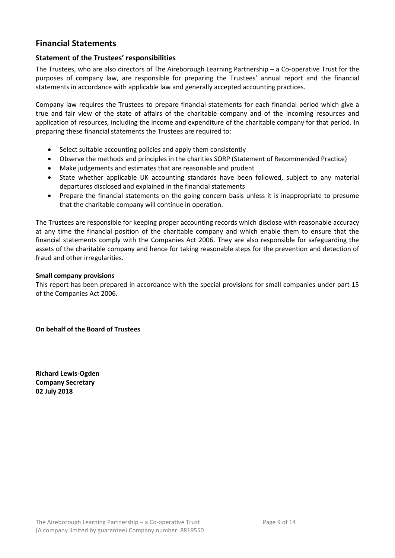## <span id="page-8-0"></span>**Financial Statements**

#### <span id="page-8-1"></span>**Statement of the Trustees' responsibilities**

The Trustees, who are also directors of The Aireborough Learning Partnership – a Co-operative Trust for the purposes of company law, are responsible for preparing the Trustees' annual report and the financial statements in accordance with applicable law and generally accepted accounting practices.

Company law requires the Trustees to prepare financial statements for each financial period which give a true and fair view of the state of affairs of the charitable company and of the incoming resources and application of resources, including the income and expenditure of the charitable company for that period. In preparing these financial statements the Trustees are required to:

- Select suitable accounting policies and apply them consistently
- Observe the methods and principles in the charities SORP (Statement of Recommended Practice)
- Make judgements and estimates that are reasonable and prudent
- State whether applicable UK accounting standards have been followed, subject to any material departures disclosed and explained in the financial statements
- Prepare the financial statements on the going concern basis unless it is inappropriate to presume that the charitable company will continue in operation.

The Trustees are responsible for keeping proper accounting records which disclose with reasonable accuracy at any time the financial position of the charitable company and which enable them to ensure that the financial statements comply with the Companies Act 2006. They are also responsible for safeguarding the assets of the charitable company and hence for taking reasonable steps for the prevention and detection of fraud and other irregularities.

#### **Small company provisions**

This report has been prepared in accordance with the special provisions for small companies under part 15 of the Companies Act 2006.

**On behalf of the Board of Trustees**

**Richard Lewis-Ogden Company Secretary 02 July 2018**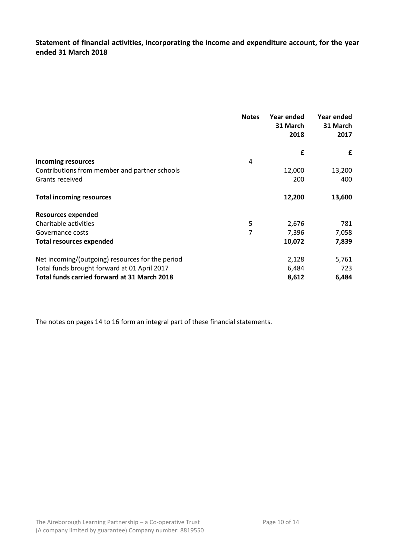<span id="page-9-0"></span>**Statement of financial activities, incorporating the income and expenditure account, for the year ended 31 March 2018**

|                                                  | <b>Notes</b> | Year ended<br>31 March<br>2018 | Year ended<br>31 March<br>2017 |
|--------------------------------------------------|--------------|--------------------------------|--------------------------------|
|                                                  |              | £                              | £                              |
| <b>Incoming resources</b>                        | 4            |                                |                                |
| Contributions from member and partner schools    |              | 12,000                         | 13,200                         |
| Grants received                                  |              | 200                            | 400                            |
| <b>Total incoming resources</b>                  |              | 12,200                         | 13,600                         |
| <b>Resources expended</b>                        |              |                                |                                |
| Charitable activities                            | 5            | 2,676                          | 781                            |
| Governance costs                                 | 7            | 7,396                          | 7,058                          |
| <b>Total resources expended</b>                  |              | 10,072                         | 7,839                          |
| Net incoming/(outgoing) resources for the period |              | 2,128                          | 5,761                          |
| Total funds brought forward at 01 April 2017     |              | 6,484                          | 723                            |
| Total funds carried forward at 31 March 2018     |              | 8,612                          | 6,484                          |

The notes on pages 14 to 16 form an integral part of these financial statements.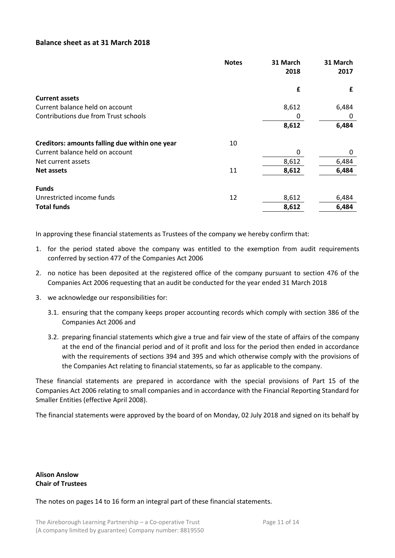#### <span id="page-10-0"></span>**Balance sheet as at 31 March 2018**

|                                                | <b>Notes</b> | 31 March<br>2018 | 31 March<br>2017 |
|------------------------------------------------|--------------|------------------|------------------|
|                                                |              | £                | £                |
| <b>Current assets</b>                          |              |                  |                  |
| Current balance held on account                |              | 8,612            | 6,484            |
| Contributions due from Trust schools           |              | 0                | 0                |
|                                                |              | 8,612            | 6,484            |
| Creditors: amounts falling due within one year | 10           |                  |                  |
| Current balance held on account                |              | 0                | 0                |
| Net current assets                             |              | 8,612            | 6,484            |
| <b>Net assets</b>                              | 11           | 8,612            | 6,484            |
| <b>Funds</b>                                   |              |                  |                  |
| Unrestricted income funds                      | 12           | 8,612            | 6,484            |
| <b>Total funds</b>                             |              | 8,612            | 6,484            |

In approving these financial statements as Trustees of the company we hereby confirm that:

- 1. for the period stated above the company was entitled to the exemption from audit requirements conferred by section 477 of the Companies Act 2006
- 2. no notice has been deposited at the registered office of the company pursuant to section 476 of the Companies Act 2006 requesting that an audit be conducted for the year ended 31 March 2018
- 3. we acknowledge our responsibilities for:
	- 3.1. ensuring that the company keeps proper accounting records which comply with section 386 of the Companies Act 2006 and
	- 3.2. preparing financial statements which give a true and fair view of the state of affairs of the company at the end of the financial period and of it profit and loss for the period then ended in accordance with the requirements of sections 394 and 395 and which otherwise comply with the provisions of the Companies Act relating to financial statements, so far as applicable to the company.

These financial statements are prepared in accordance with the special provisions of Part 15 of the Companies Act 2006 relating to small companies and in accordance with the Financial Reporting Standard for Smaller Entities (effective April 2008).

The financial statements were approved by the board of on Monday, 02 July 2018 and signed on its behalf by

#### **Alison Anslow Chair of Trustees**

The notes on pages 14 to 16 form an integral part of these financial statements.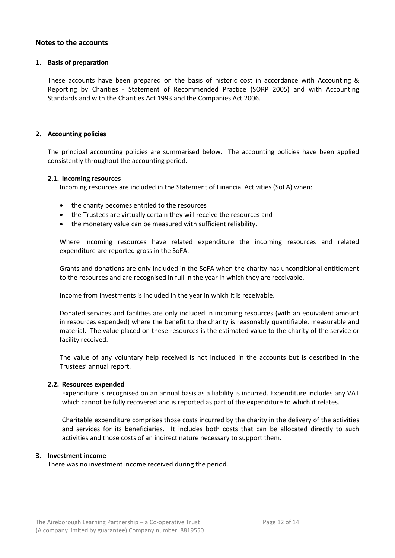#### <span id="page-11-0"></span>**Notes to the accounts**

#### **1. Basis of preparation**

These accounts have been prepared on the basis of historic cost in accordance with Accounting & Reporting by Charities - Statement of Recommended Practice (SORP 2005) and with Accounting Standards and with the Charities Act 1993 and the Companies Act 2006.

#### **2. Accounting policies**

The principal accounting policies are summarised below. The accounting policies have been applied consistently throughout the accounting period.

#### **2.1. Incoming resources**

Incoming resources are included in the Statement of Financial Activities (SoFA) when:

- the charity becomes entitled to the resources
- the Trustees are virtually certain they will receive the resources and
- the monetary value can be measured with sufficient reliability.

Where incoming resources have related expenditure the incoming resources and related expenditure are reported gross in the SoFA.

Grants and donations are only included in the SoFA when the charity has unconditional entitlement to the resources and are recognised in full in the year in which they are receivable.

Income from investments is included in the year in which it is receivable.

Donated services and facilities are only included in incoming resources (with an equivalent amount in resources expended) where the benefit to the charity is reasonably quantifiable, measurable and material. The value placed on these resources is the estimated value to the charity of the service or facility received.

The value of any voluntary help received is not included in the accounts but is described in the Trustees' annual report.

#### **2.2. Resources expended**

Expenditure is recognised on an annual basis as a liability is incurred. Expenditure includes any VAT which cannot be fully recovered and is reported as part of the expenditure to which it relates.

Charitable expenditure comprises those costs incurred by the charity in the delivery of the activities and services for its beneficiaries. It includes both costs that can be allocated directly to such activities and those costs of an indirect nature necessary to support them.

#### **3. Investment income**

There was no investment income received during the period.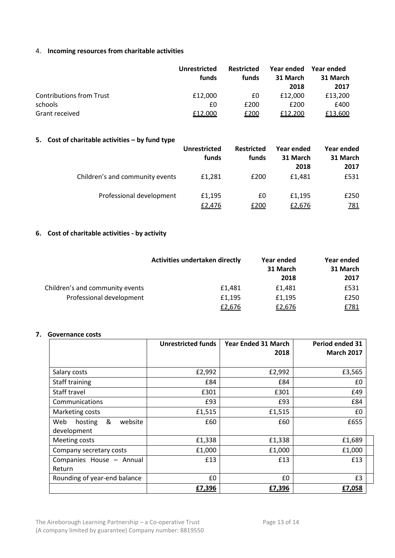#### 4. **Incoming resources from charitable activities**

|                                 | <b>Unrestricted</b><br>funds | <b>Restricted</b><br>funds | Year ended<br>31 March<br>2018 | Year ended<br>31 March<br>2017 |
|---------------------------------|------------------------------|----------------------------|--------------------------------|--------------------------------|
| <b>Contributions from Trust</b> | £12,000                      | £0                         | £12,000                        | £13,200                        |
| schools                         | £0                           | £200                       | £200                           | £400                           |
| Grant received                  | £12,000                      | <u>£200</u>                | £12,200                        | £13,600                        |

### **5. Cost of charitable activities – by fund type**

|                                 | Unrestricted<br>funds | <b>Restricted</b><br>funds | Year ended<br>31 March<br>2018 | Year ended<br>31 March<br>2017 |
|---------------------------------|-----------------------|----------------------------|--------------------------------|--------------------------------|
| Children's and community events | £1,281                | £200                       | £1.481                         | £531                           |
| Professional development        | £1,195<br>£2,476      | £0<br>£200                 | £1,195<br>£2,676               | £250<br><u>781</u>             |

### **6. Cost of charitable activities - by activity**

|                                 | Activities undertaken directly | Year ended<br>31 March<br>2018 | Year ended<br>31 March<br>2017 |
|---------------------------------|--------------------------------|--------------------------------|--------------------------------|
| Children's and community events | £1,481                         | £1.481                         | £531                           |
| Professional development        | £1,195                         | £1,195                         | £250                           |
|                                 | £2,676                         | £2,676                         | £781                           |

#### **7. Governance costs**

|                                               | <b>Unrestricted funds</b> | <b>Year Ended 31 March</b><br>2018 | Period ended 31<br><b>March 2017</b> |
|-----------------------------------------------|---------------------------|------------------------------------|--------------------------------------|
|                                               |                           |                                    |                                      |
| Salary costs                                  | £2,992                    | £2,992                             | £3,565                               |
| Staff training                                | £84                       | £84                                | £0                                   |
| Staff travel                                  | £301                      | £301                               | £49                                  |
| Communications                                | £93                       | £93                                | £84                                  |
| Marketing costs                               | £1,515                    | £1,515                             | £0                                   |
| &<br>Web<br>website<br>hosting<br>development | £60                       | £60                                | £655                                 |
| Meeting costs                                 | £1,338                    | £1,338                             | £1,689                               |
| Company secretary costs                       | £1,000                    | £1,000                             | £1,000                               |
| Companies House - Annual<br>Return            | £13                       | £13                                | £13                                  |
| Rounding of year-end balance                  | £0                        | £0                                 | £3                                   |
|                                               | £7,396                    | £7,396                             | £7,058                               |